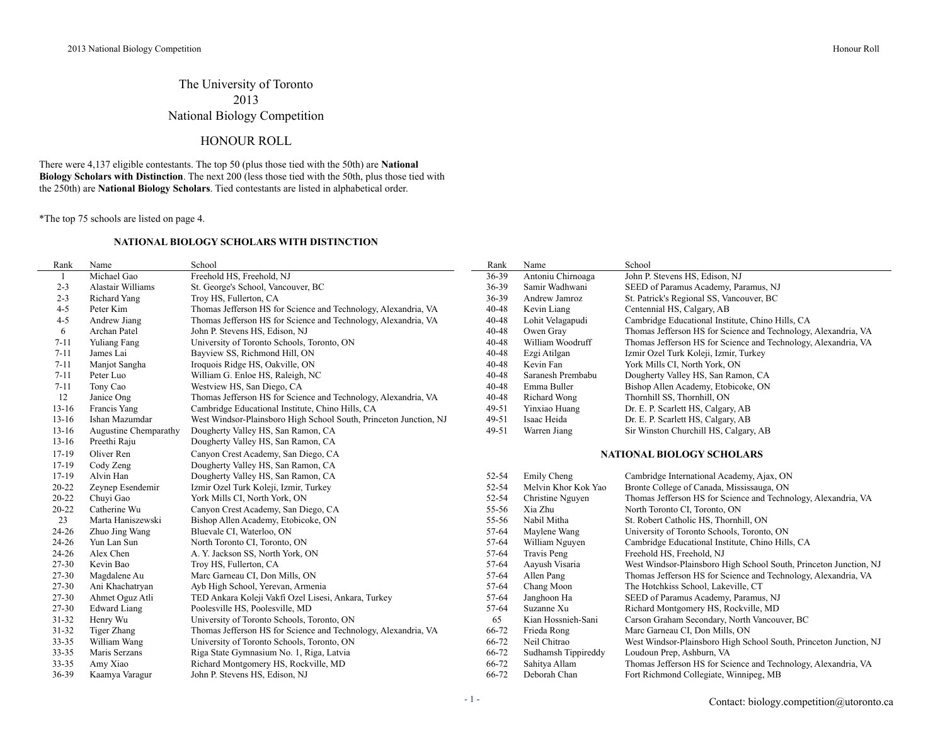## The University of Toronto 2013 National Biology Competition

## HONOUR ROLL

There were 4,137 eligible contestants. The top 50 (plus those tied with the 50th) are **National Biology Scholars with Distinction**. The next 200 (less those tied with the 50th, plus those tied with the 250th) are **National Biology Scholars**. Tied contestants are listed in alphabetical order.

\*The top 75 schools are listed on page 4.

 $\overline{\phantom{0}}$ 

#### **NATIONAL BIOLOGY SCHOLARS WITH DISTINCTION**

| Rank      | Name                  | School                                                            | Rank  | Name                             | School                                                            |  |
|-----------|-----------------------|-------------------------------------------------------------------|-------|----------------------------------|-------------------------------------------------------------------|--|
| -1        | Michael Gao           | Freehold HS, Freehold, NJ                                         | 36-39 | Antoniu Chirnoaga                | John P. Stevens HS, Edison, NJ                                    |  |
| $2 - 3$   | Alastair Williams     | St. George's School, Vancouver, BC                                | 36-39 | Samir Wadhwani                   | SEED of Paramus Academy, Paramus, NJ                              |  |
| $2 - 3$   | <b>Richard Yang</b>   | Troy HS, Fullerton, CA                                            | 36-39 | Andrew Jamroz                    | St. Patrick's Regional SS, Vancouver, BC                          |  |
| $4 - 5$   | Peter Kim             | Thomas Jefferson HS for Science and Technology, Alexandria, VA    | 40-48 | Kevin Liang                      | Centennial HS, Calgary, AB                                        |  |
| $4 - 5$   | Andrew Jiang          | Thomas Jefferson HS for Science and Technology, Alexandria, VA    | 40-48 | Lohit Velagapudi                 | Cambridge Educational Institute, Chino Hills, CA                  |  |
| 6         | Archan Patel          | John P. Stevens HS, Edison, NJ                                    | 40-48 | Owen Gray                        | Thomas Jefferson HS for Science and Technology, Alexandria, VA    |  |
| $7 - 11$  | <b>Yuliang Fang</b>   | University of Toronto Schools, Toronto, ON                        | 40-48 | William Woodruff                 | Thomas Jefferson HS for Science and Technology, Alexandria, VA    |  |
| $7 - 11$  | James Lai             | Bayview SS, Richmond Hill, ON                                     | 40-48 | Ezgi Atilgan                     | Izmir Ozel Turk Koleji, Izmir, Turkey                             |  |
| $7 - 11$  | Manjot Sangha         | Iroquois Ridge HS, Oakville, ON                                   | 40-48 | Kevin Fan                        | York Mills CI, North York, ON                                     |  |
| $7 - 11$  | Peter Luo             | William G. Enloe HS, Raleigh, NC                                  | 40-48 | Saranesh Prembabu                | Dougherty Valley HS, San Ramon, CA                                |  |
| $7 - 11$  | Tony Cao              | Westview HS, San Diego, CA                                        | 40-48 | Emma Buller                      | Bishop Allen Academy, Etobicoke, ON                               |  |
| 12        | Janice Ong            | Thomas Jefferson HS for Science and Technology, Alexandria, VA    | 40-48 | Richard Wong                     | Thornhill SS, Thornhill, ON                                       |  |
| $13 - 16$ | Francis Yang          | Cambridge Educational Institute, Chino Hills, CA                  | 49-51 | Yinxiao Huang                    | Dr. E. P. Scarlett HS, Calgary, AB                                |  |
| $13-16$   | Ishan Mazumdar        | West Windsor-Plainsboro High School South, Princeton Junction, NJ | 49-51 | Isaac Heida                      | Dr. E. P. Scarlett HS, Calgary, AB                                |  |
| $13 - 16$ | Augustine Chemparathy | Dougherty Valley HS, San Ramon, CA                                | 49-51 | Warren Jiang                     | Sir Winston Churchill HS, Calgary, AB                             |  |
| $13-16$   | Preethi Raju          | Dougherty Valley HS, San Ramon, CA                                |       |                                  |                                                                   |  |
| $17 - 19$ | Oliver Ren            | Canyon Crest Academy, San Diego, CA                               |       | <b>NATIONAL BIOLOGY SCHOLARS</b> |                                                                   |  |
| $17 - 19$ | Cody Zeng             | Dougherty Valley HS, San Ramon, CA                                |       |                                  |                                                                   |  |
| $17-19$   | Alvin Han             | Dougherty Valley HS, San Ramon, CA                                | 52-54 | Emily Cheng                      | Cambridge International Academy, Ajax, ON                         |  |
| 20-22     | Zeynep Esendemir      | Izmir Ozel Turk Koleji, Izmir, Turkey                             | 52-54 | Melvin Khor Kok Yao              | Bronte College of Canada, Mississauga, ON                         |  |
| $20 - 22$ | Chuyi Gao             | York Mills CI, North York, ON                                     | 52-54 | Christine Nguyen                 | Thomas Jefferson HS for Science and Technology, Alexandria, VA    |  |
| $20 - 22$ | Catherine Wu          | Canyon Crest Academy, San Diego, CA                               | 55-56 | Xia Zhu                          | North Toronto CI, Toronto, ON                                     |  |
| 23        | Marta Haniszewski     | Bishop Allen Academy, Etobicoke, ON                               | 55-56 | Nabil Mitha                      | St. Robert Catholic HS, Thornhill, ON                             |  |
| 24-26     | Zhuo Jing Wang        | Bluevale CI, Waterloo, ON                                         | 57-64 | Maylene Wang                     | University of Toronto Schools, Toronto, ON                        |  |
| 24-26     | Yun Lan Sun           | North Toronto CI, Toronto, ON                                     | 57-64 | William Nguyen                   | Cambridge Educational Institute, Chino Hills, CA                  |  |
| 24-26     | Alex Chen             | A. Y. Jackson SS, North York, ON                                  | 57-64 | <b>Travis Peng</b>               | Freehold HS, Freehold, NJ                                         |  |
| 27-30     | Kevin Bao             | Troy HS, Fullerton, CA                                            | 57-64 | Aayush Visaria                   | West Windsor-Plainsboro High School South, Princeton Junction, NJ |  |
| $27 - 30$ | Magdalene Au          | Marc Garneau CI, Don Mills, ON                                    | 57-64 | Allen Pang                       | Thomas Jefferson HS for Science and Technology, Alexandria, VA    |  |
| 27-30     | Ani Khachatryan       | Ayb High School, Yerevan, Armenia                                 | 57-64 | Chang Moon                       | The Hotchkiss School, Lakeville, CT                               |  |
| $27 - 30$ | Ahmet Oguz Atli       | TED Ankara Koleji Vakfi Ozel Lisesi, Ankara, Turkey               | 57-64 | Janghoon Ha                      | SEED of Paramus Academy, Paramus, NJ                              |  |
| 27-30     | <b>Edward Liang</b>   | Poolesville HS, Poolesville, MD                                   | 57-64 | Suzanne Xu                       | Richard Montgomery HS, Rockville, MD                              |  |
| $31 - 32$ | Henry Wu              | University of Toronto Schools, Toronto, ON                        | 65    | Kian Hossnieh-Sani               | Carson Graham Secondary, North Vancouver, BC                      |  |
| $31 - 32$ | Tiger Zhang           | Thomas Jefferson HS for Science and Technology, Alexandria, VA    | 66-72 | Frieda Rong                      | Marc Garneau CI, Don Mills, ON                                    |  |
| $33 - 35$ | William Wang          | University of Toronto Schools, Toronto, ON                        | 66-72 | Neil Chitrao                     | West Windsor-Plainsboro High School South, Princeton Junction, NJ |  |
| $33 - 35$ | Maris Serzans         | Riga State Gymnasium No. 1, Riga, Latvia                          | 66-72 | Sudhamsh Tippireddy              | Loudoun Prep, Ashburn, VA                                         |  |
| $33 - 35$ | Amy Xiao              | Richard Montgomery HS, Rockville, MD                              | 66-72 | Sahitya Allam                    | Thomas Jefferson HS for Science and Technology, Alexandria, VA    |  |
| 36-39     | Kaamya Varagur        | John P. Stevens HS, Edison, NJ                                    | 66-72 | Deborah Chan                     | Fort Richmond Collegiate, Winnipeg, MB                            |  |
|           |                       |                                                                   |       |                                  |                                                                   |  |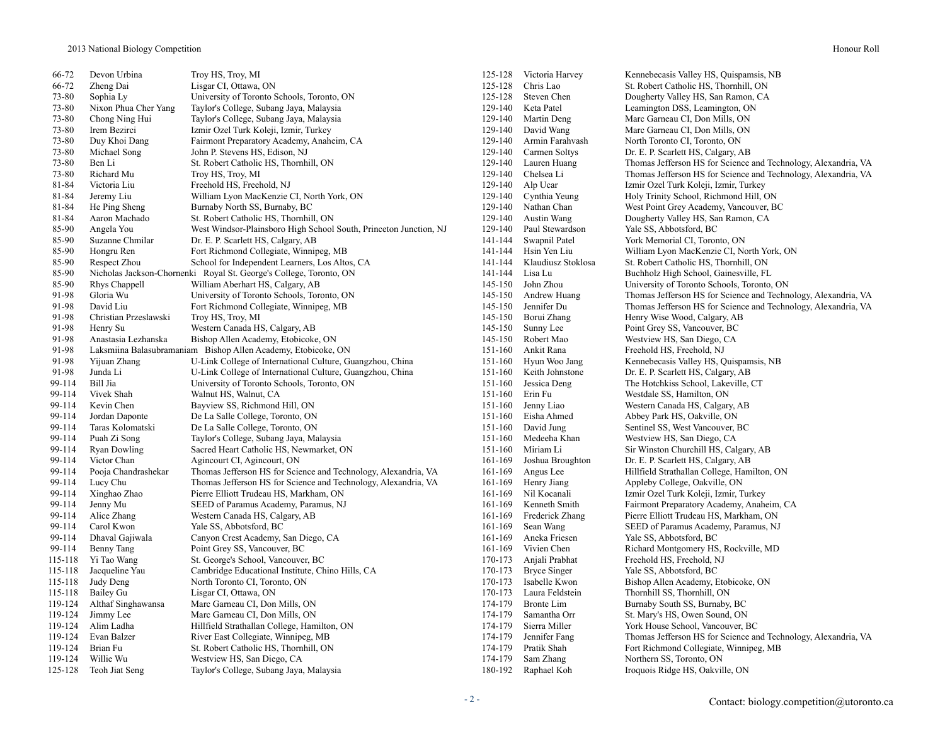| 66-72   | Devon Urbina          | Troy HS, Troy, MI                                                  | 125-128 | Victoria Harvey    | Kennebecasis Valley HS, Quispamsis, NB                         |
|---------|-----------------------|--------------------------------------------------------------------|---------|--------------------|----------------------------------------------------------------|
| 66-72   | Zheng Dai             | Lisgar CI, Ottawa, ON                                              | 125-128 | Chris Lao          | St. Robert Catholic HS, Thornhill, ON                          |
| 73-80   | Sophia Ly             | University of Toronto Schools, Toronto, ON                         | 125-128 | Steven Chen        | Dougherty Valley HS, San Ramon, CA                             |
| 73-80   | Nixon Phua Cher Yang  | Taylor's College, Subang Jaya, Malaysia                            | 129-140 | Keta Patel         | Leamington DSS, Leamington, ON                                 |
| 73-80   | Chong Ning Hui        | Taylor's College, Subang Jaya, Malaysia                            | 129-140 | Martin Deng        | Marc Garneau CI, Don Mills, ON                                 |
| 73-80   | Irem Bezirci          | Izmir Ozel Turk Koleji, Izmir, Turkey                              | 129-140 | David Wang         | Marc Garneau CI, Don Mills, ON                                 |
| 73-80   | Duy Khoi Dang         | Fairmont Preparatory Academy, Anaheim, CA                          | 129-140 | Armin Farahvash    | North Toronto CI, Toronto, ON                                  |
| 73-80   | Michael Song          | John P. Stevens HS, Edison, NJ                                     | 129-140 | Carmen Soltys      | Dr. E. P. Scarlett HS, Calgary, AB                             |
| 73-80   | Ben Li                | St. Robert Catholic HS, Thornhill, ON                              | 129-140 | Lauren Huang       | Thomas Jefferson HS for Science and Technology, Alexandria, VA |
| 73-80   | Richard Mu            | Troy HS, Troy, MI                                                  | 129-140 | Chelsea Li         | Thomas Jefferson HS for Science and Technology, Alexandria, VA |
| 81-84   | Victoria Liu          | Freehold HS, Freehold, NJ                                          | 129-140 | Alp Ucar           | Izmir Ozel Turk Koleji, Izmir, Turkey                          |
| 81-84   | Jeremy Liu            | William Lyon MacKenzie CI, North York, ON                          | 129-140 | Cynthia Yeung      | Holy Trinity School, Richmond Hill, ON                         |
| 81-84   | He Ping Sheng         | Burnaby North SS, Burnaby, BC                                      | 129-140 | Nathan Chan        | West Point Grey Academy, Vancouver, BC                         |
| 81-84   | Aaron Machado         | St. Robert Catholic HS, Thornhill, ON                              | 129-140 | Austin Wang        | Dougherty Valley HS, San Ramon, CA                             |
| 85-90   | Angela You            | West Windsor-Plainsboro High School South, Princeton Junction, NJ  | 129-140 | Paul Stewardson    | Yale SS, Abbotsford, BC                                        |
| 85-90   | Suzanne Chmilar       | Dr. E. P. Scarlett HS, Calgary, AB                                 | 141-144 | Swapnil Patel      | York Memorial CI, Toronto, ON                                  |
| 85-90   | Hongru Ren            | Fort Richmond Collegiate, Winnipeg, MB                             | 141-144 | Hsin Yen Liu       | William Lyon MacKenzie CI, North York, ON                      |
| 85-90   | Respect Zhou          | School for Independent Learners, Los Altos, CA                     | 141-144 | Klaudiusz Stoklosa | St. Robert Catholic HS, Thornhill, ON                          |
| 85-90   |                       | Nicholas Jackson-Chornenki Royal St. George's College, Toronto, ON | 141-144 | Lisa Lu            | Buchholz High School, Gainesville, FL                          |
| 85-90   | Rhys Chappell         | William Aberhart HS, Calgary, AB                                   | 145-150 | John Zhou          | University of Toronto Schools, Toronto, ON                     |
| 91-98   | Gloria Wu             | University of Toronto Schools, Toronto, ON                         | 145-150 | Andrew Huang       | Thomas Jefferson HS for Science and Technology, Alexandria, VA |
| 91-98   | David Liu             | Fort Richmond Collegiate, Winnipeg, MB                             | 145-150 | Jennifer Du        | Thomas Jefferson HS for Science and Technology, Alexandria, VA |
| 91-98   | Christian Przeslawski | Troy HS, Troy, MI                                                  | 145-150 | Borui Zhang        | Henry Wise Wood, Calgary, AB                                   |
| 91-98   | Henry Su              | Western Canada HS, Calgary, AB                                     | 145-150 | Sunny Lee          | Point Grey SS, Vancouver, BC                                   |
| 91-98   | Anastasia Lezhanska   | Bishop Allen Academy, Etobicoke, ON                                | 145-150 | Robert Mao         | Westview HS, San Diego, CA                                     |
| 91-98   |                       | Laksmiina Balasubramaniam Bishop Allen Academy, Etobicoke, ON      | 151-160 | Ankit Rana         | Freehold HS, Freehold, NJ                                      |
| 91-98   | Yijuan Zhang          | U-Link College of International Culture, Guangzhou, China          | 151-160 | Hyun Woo Jang      | Kennebecasis Valley HS, Quispamsis, NB                         |
| 91-98   | Junda Li              | U-Link College of International Culture, Guangzhou, China          | 151-160 | Keith Johnstone    | Dr. E. P. Scarlett HS, Calgary, AB                             |
| 99-114  | Bill Jia              | University of Toronto Schools, Toronto, ON                         | 151-160 | Jessica Deng       | The Hotchkiss School, Lakeville, CT                            |
| 99-114  | Vivek Shah            | Walnut HS, Walnut, CA                                              | 151-160 | Erin Fu            | Westdale SS, Hamilton, ON                                      |
| 99-114  | Kevin Chen            | Bayview SS, Richmond Hill, ON                                      | 151-160 | Jenny Liao         | Western Canada HS, Calgary, AB                                 |
| 99-114  | Jordan Daponte        | De La Salle College, Toronto, ON                                   | 151-160 | Eisha Ahmed        | Abbey Park HS, Oakville, ON                                    |
| 99-114  | Taras Kolomatski      | De La Salle College, Toronto, ON                                   | 151-160 | David Jung         | Sentinel SS, West Vancouver, BC                                |
| 99-114  | Puah Zi Song          | Taylor's College, Subang Jaya, Malaysia                            | 151-160 | Medeeha Khan       | Westview HS, San Diego, CA                                     |
| 99-114  | Ryan Dowling          | Sacred Heart Catholic HS, Newmarket, ON                            | 151-160 | Miriam Li          | Sir Winston Churchill HS, Calgary, AB                          |
| 99-114  | Victor Chan           | Agincourt CI, Agincourt, ON                                        | 161-169 | Joshua Broughton   | Dr. E. P. Scarlett HS, Calgary, AB                             |
| 99-114  | Pooja Chandrashekar   | Thomas Jefferson HS for Science and Technology, Alexandria, VA     | 161-169 | Angus Lee          | Hillfield Strathallan College, Hamilton, ON                    |
| 99-114  | Lucy Chu              | Thomas Jefferson HS for Science and Technology, Alexandria, VA     | 161-169 | Henry Jiang        | Appleby College, Oakville, ON                                  |
| 99-114  | Xinghao Zhao          | Pierre Elliott Trudeau HS, Markham, ON                             | 161-169 | Nil Kocanali       | Izmir Ozel Turk Koleji, Izmir, Turkey                          |
| 99-114  | Jenny Mu              | SEED of Paramus Academy, Paramus, NJ                               | 161-169 | Kenneth Smith      | Fairmont Preparatory Academy, Anaheim, CA                      |
| 99-114  | Alice Zhang           | Western Canada HS, Calgary, AB                                     | 161-169 | Frederick Zhang    | Pierre Elliott Trudeau HS, Markham, ON                         |
| 99-114  | Carol Kwon            | Yale SS, Abbotsford, BC                                            | 161-169 | Sean Wang          | SEED of Paramus Academy, Paramus, NJ                           |
| 99-114  | Dhaval Gajiwala       | Canyon Crest Academy, San Diego, CA                                | 161-169 | Aneka Friesen      | Yale SS, Abbotsford, BC                                        |
| 99-114  | Benny Tang            | Point Grey SS, Vancouver, BC                                       | 161-169 | Vivien Chen        | Richard Montgomery HS, Rockville, MD                           |
| 115-118 | Yi Tao Wang           | St. George's School, Vancouver, BC                                 | 170-173 | Anjali Prabhat     | Freehold HS, Freehold, NJ                                      |
| 115-118 | Jacqueline Yau        | Cambridge Educational Institute, Chino Hills, CA                   | 170-173 | Bryce Singer       | Yale SS, Abbotsford, BC                                        |
| 115-118 | Judy Deng             | North Toronto CI, Toronto, ON                                      | 170-173 | Isabelle Kwon      | Bishop Allen Academy, Etobicoke, ON                            |
| 115-118 | Bailey Gu             | Lisgar CI, Ottawa, ON                                              | 170-173 | Laura Feldstein    | Thornhill SS, Thornhill, ON                                    |
| 119-124 | Althaf Singhawansa    | Marc Garneau CI, Don Mills, ON                                     | 174-179 | <b>Bronte Lim</b>  | Burnaby South SS, Burnaby, BC                                  |
| 119-124 | Jimmy Lee             | Marc Garneau CI, Don Mills, ON                                     | 174-179 | Samantha Orr       | St. Mary's HS, Owen Sound, ON                                  |
| 119-124 | Alim Ladha            | Hillfield Strathallan College, Hamilton, ON                        | 174-179 | Sierra Miller      | York House School, Vancouver, BC                               |
| 119-124 | Evan Balzer           | River East Collegiate, Winnipeg, MB                                | 174-179 | Jennifer Fang      | Thomas Jefferson HS for Science and Technology, Alexandria, VA |
| 119-124 | Brian Fu              | St. Robert Catholic HS, Thornhill, ON                              | 174-179 | Pratik Shah        | Fort Richmond Collegiate, Winnipeg, MB                         |
| 119-124 | Willie Wu             | Westview HS, San Diego, CA                                         | 174-179 | Sam Zhang          | Northern SS, Toronto, ON                                       |
| 125-128 | Teoh Jiat Seng        | Taylor's College, Subang Jaya, Malaysia                            | 180-192 | Raphael Koh        | Iroquois Ridge HS, Oakville, ON                                |
|         |                       |                                                                    |         |                    |                                                                |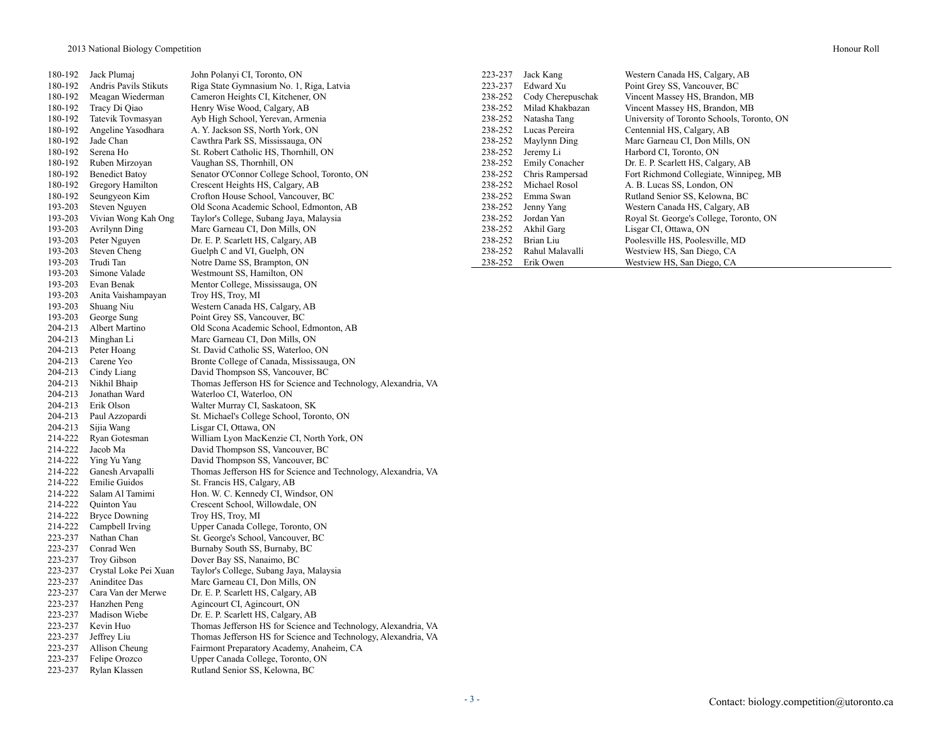180-192 Andris Pavils Stikuts Riga State Gymnasium No. 1, Riga, Latvia 223-237 Edward Xu Point Grey SS, Vancouver, BC 180-192 Meagan Wiederman Cameron Heights CI, Kitchener, ON 238-252 Cody Cherepuschak Vincent Massey HS, Brandon, MB<br>180-192 Tracy Di Qiao Henry Wise Wood, Calgary, AB 238-252 Milad Khakbazan Vincent Massey HS, Brandon, MB 180-192 Tracy Di Qiao Henry Wise Wood, Calgary, AB 238-252 Hilad Khakbazan Vincent Massey HS, Brandon, MB<br>180-192 Tatevik Toymasyan Ayb High School, Yerevan, Armenia 238-252 Natasha Tang University of Toronto Schools, Tor 180-192 Tatevik Tovmasyan Ayb High School, Yerevan, Armenia 238-252 Natasha Tang University of Toronto Schools, Toronto, ON 180-192 Angeline Yasodhara A. Y. Jackson SS, North York, ON 238-252 Lucas Pereira Centennial HS, Calgary, AB 180-192 Jade Chan Cawthra Park SS, Mississauga, ON 238-252 Maylynn Ding Marc Garneau CI, Don Mills, ON 180-192 Serena Ho St. Robert Catholic HS, Thornhill, ON 238-252 Jeremy Li Harbord CI, Toronto, ON 180-192 Ruben Mirzoyan Vaughan SS, Thornhill, ON 238-252 Emily Conacher Dr. E. P. Scarlett HS, Calgary, AB 180-192 Benedict Batoy Senator O'Connor College School, Toronto, ON 238-252 Chris Rampersad Fort Richmond Collegiate, Winnipeg, MB 180-192 Gregory Hamilton Crescent Heights HS, Calgary, AB 238-252 Michael Rosol A. B. Lucas SS, London, ON 180-192 Seungyeon Kim Crofton House School, Vancouver, BC 238-252 Emma Swan Rutland Senior SS, Kelowna, BC 193-203 Steven Nguyen Old Scona Academic School, Edmonton, AB 238-252 Jenny Yang Western Canada HS, Calgary, AB 193-203 Vivian Wong Kah Ong Taylor's College, Subang Jaya, Malaysia 238-252 Jordan Yan Royal St. George's College, Toronto, ON 193-203 Avrilynn Ding Marc Garneau CI, Don Mills, ON 238-252 Akhil Garg Lisgar CI, Ottawa, ON 193-203 Peter Nguyen Dr. E. P. Scarlett HS, Calgary, AB 238-252 Brian Liu Poolesville HS, Poolesville, MD 193-203 Steven Cheng Guelph C and VI, Guelph, ON 238-252 Rahul Malavalli Westview HS, San Diego, CA<br>193-203 Trudi Tan Notre Dame SS, Brampton, ON 238-252 Erik Owen Westview HS, San Diego, CA 193-203 Trudi Tan Notre Dame SS, Brampton, ON 193-203 Simone Valade Westmount SS. Hamilton. ON 193-203 Simone Valade Westmount SS, Hamilton, ON 193-203 Evan Benak Mentor College, Mississauga, ON<br>193-203 Anita Vaishampayan Troy HS, Troy, MI 193-203 Anita Vaishampayan 193-203 Shuang Niu Western Canada HS, Calgary, AB 193-203 George Sung Point Grey SS, Vancouver, BC 204-213 Albert Martino Old Scona Academic School, Edmonton, AB 204-213 Minghan Li Marc Garneau CI, Don Mills, ON 204-213 Peter Hoang St. David Catholic SS, Waterloo, ON 204-213 Carene Yeo Bronte College of Canada, Mississauga, ON 204-213 Cindy Liang David Thompson SS, Vancouver, BC 204-213 Nikhil Bhaip Thomas Jefferson HS for Science and Technology, Alexandria, VA 204-213 Jonathan Ward Waterloo CI, Waterloo, ON 204-213 Erik Olson Walter Murray CI, Saskatoon, SK 204-213 Paul Azzopardi St. Michael's College School, Toronto, ON 204-213 Sijia Wang Lisgar CI, Ottawa, ON<br>214-222 Ryan Gotesman William Lvon MacKen: 214-222 Ryan Gotesman William Lyon MacKenzie CI, North York, ON 214-222 Jacob Ma David Thompson SS, Vancouver, BC 214-222 Ying Yu Yang David Thompson SS, Vancouver, BC 214-222 Ganesh Arvapalli Thomas Jefferson HS for Science and Technology, Alexandria, VA 214-222 Emilie Guidos St. Francis HS, Calgary, AB 214-222 Salam Al Tamimi Hon. W. C. Kennedy CI, Windsor, ON<br>214-222 Ouinton Yau Crescent School, Willowdale, ON 214-222 Quinton Yau Crescent School, Willowdale, ON 214-222 Bryce Downing Troy HS, Troy, MI 214-222 Campbell Irving Upper Canada College, Toronto, ON 223-237 Nathan Chan St. George's School, Vancouver, BC 223-237 Conrad Wen Burnaby South SS, Burnaby, BC 223-237 Troy Gibson Dover Bay SS, Nanaimo, BC 223-237 Crystal Loke Pei Xuan Taylor's College, Subang Jaya, Malaysia 223-237 Aninditee Das Marc Garneau CI, Don Mills, ON 223-237 Cara Van der Merwe Dr. E. P. Scarlett HS, Calgary, AB 223-237 Hanzhen Peng Agincourt CI, Agincourt, ON 223-237 Madison Wiebe Dr. E. P. Scarlett HS, Calgary, AB 223-237 Kevin Huo Thomas Jefferson HS for Science and Technology, Alexandria, VA 223-237 Jeffrey Liu Thomas Jefferson HS for Science and Technology, Alexandria, VA 223-237 Allison Cheung Fairmont Preparatory Academy, Anaheim, CA 223-237 Felipe Orozco Upper Canada College, Toronto, ON 223-237 Rylan Klassen Rutland Senior SS, Kelowna, BC

180-192 Jack Plumaj John Polanyi CI, Toronto, ON 223-237 Jack Kang Western Canada HS, Calgary, AB